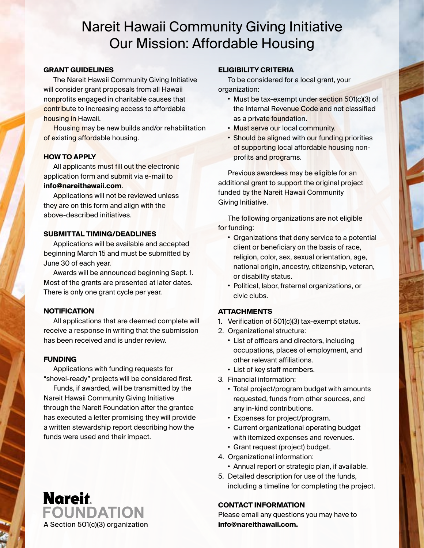# Nareit Hawaii Community Giving Initiative Our Mission: Affordable Housing

#### **GRANT GUIDELINES**

The Nareit Hawaii Community Giving Initiative will consider grant proposals from all Hawaii nonprofits engaged in charitable causes that contribute to increasing access to affordable housing in Hawaii.

Housing may be new builds and/or rehabilitation of existing affordable housing.

#### **HOW TO APPLY**

All applicants must fill out the electronic application form and submit via e-mail to **info@nareithawaii.com**.

Applications will not be reviewed unless they are on this form and align with the above-described initiatives.

#### **SUBMITTAL TIMING/DEADLINES**

Applications will be available and accepted beginning March 15 and must be submitted by June 30 of each year.

Awards will be announced beginning Sept. 1. Most of the grants are presented at later dates. There is only one grant cycle per year.

# **NOTIFICATION**

All applications that are deemed complete will receive a response in writing that the submission has been received and is under review.

# **FUNDING**

Applications with funding requests for "shovel-ready" projects will be considered first.

Funds, if awarded, will be transmitted by the Nareit Hawaii Community Giving Initiative through the Nareit Foundation after the grantee has executed a letter promising they will provide a written stewardship report describing how the funds were used and their impact.

# **ELIGIBILITY CRITERIA**

To be considered for a local grant, your organization:

- Must be tax-exempt under section 501(c)(3) of the Internal Revenue Code and not classified as a private foundation.
- Must serve our local community.
- Should be aligned with our funding priorities of supporting local affordable housing nonprofits and programs.

Previous awardees may be eligible for an additional grant to support the original project funded by the Nareit Hawaii Community Giving Initiative.

The following organizations are not eligible for funding:

- Organizations that deny service to a potential client or beneficiary on the basis of race, religion, color, sex, sexual orientation, age, national origin, ancestry, citizenship, veteran, or disability status.
- Political, labor, fraternal organizations, or civic clubs.

# **ATTACHMENTS**

- 1. Verification of 501(c)(3) tax-exempt status.
- 2. Organizational structure:
	- List of officers and directors, including occupations, places of employment, and other relevant affiliations.
	- List of key staff members.
- 3. Financial information:
	- Total project/program budget with amounts requested, funds from other sources, and any in-kind contributions.
	- Expenses for project/program.
	- Current organizational operating budget with itemized expenses and revenues.
	- Grant request (project) budget.
- 4. Organizational information:
	- Annual report or strategic plan, if available.
- 5. Detailed description for use of the funds, including a timeline for completing the project.

#### **CONTACT INFORMATION**

Please email any questions you may have to

**Nareit. FOUNDATION** A Section 501(c)(3) organization **info@nareithawaii.com.**